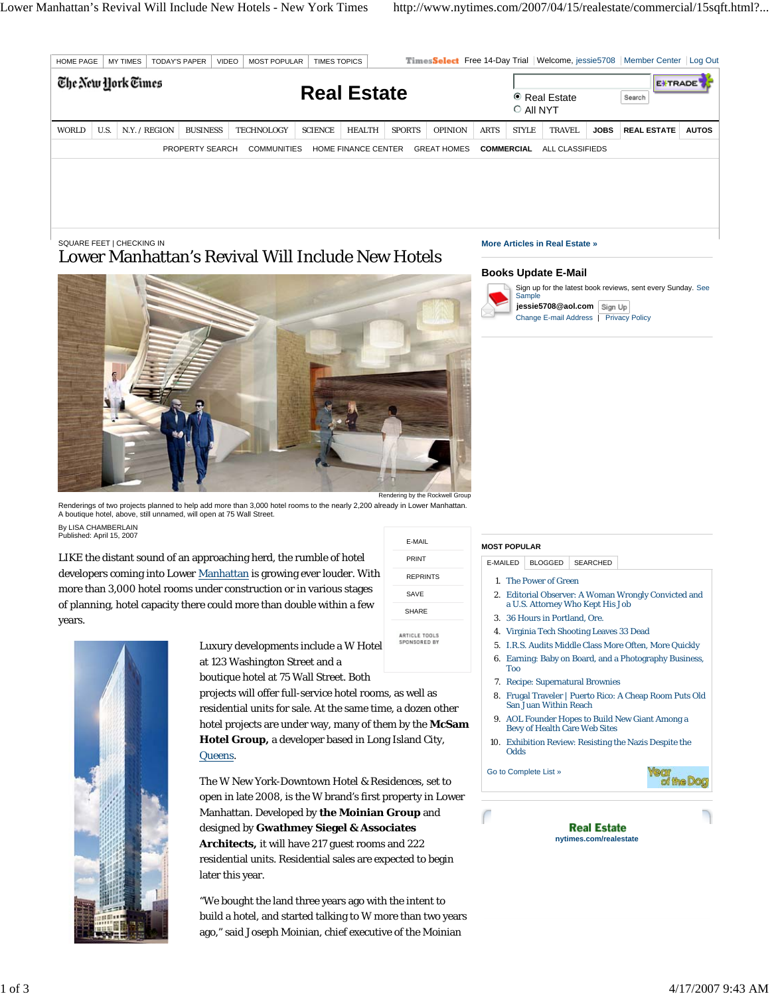| <b>HOME PAGE</b><br><b>MY TIMES</b><br>VIDEO<br><b>TODAY'S PAPER</b><br><b>MOST POPULAR</b><br>The New York Times |      |               |  |                 |  | <b>TIMES TOPICS</b>                            |                    |                     |  |               |                    | TimesSelect Free 14-Day Trial Welcome, jessie5708 Member Center Log Out<br><b>EXTRADE</b> |                   |                                       |             |                    |              |
|-------------------------------------------------------------------------------------------------------------------|------|---------------|--|-----------------|--|------------------------------------------------|--------------------|---------------------|--|---------------|--------------------|-------------------------------------------------------------------------------------------|-------------------|---------------------------------------|-------------|--------------------|--------------|
|                                                                                                                   |      |               |  |                 |  |                                                | <b>Real Estate</b> |                     |  |               |                    |                                                                                           | O All NYT         | ● Real Estate                         |             | Search             |              |
| WORLD                                                                                                             | U.S. | N.Y. / REGION |  | <b>BUSINESS</b> |  | <b>TECHNOLOGY</b>                              | <b>SCIENCE</b>     | <b>HEALTH</b>       |  | <b>SPORTS</b> | OPINION            | <b>ARTS</b>                                                                               | <b>STYLE</b>      | <b>TRAVEL</b>                         | <b>JOBS</b> | <b>REAL ESTATE</b> | <b>AUTOS</b> |
|                                                                                                                   |      |               |  | PROPERTY SEARCH |  | <b>COMMUNITIES</b>                             |                    | HOME FINANCE CENTER |  |               | <b>GREAT HOMES</b> |                                                                                           | <b>COMMERCIAL</b> | ALL CLASSIFIEDS                       |             |                    |              |
|                                                                                                                   |      |               |  |                 |  |                                                |                    |                     |  |               |                    |                                                                                           |                   |                                       |             |                    |              |
|                                                                                                                   |      |               |  |                 |  |                                                |                    |                     |  |               |                    |                                                                                           |                   |                                       |             |                    |              |
|                                                                                                                   |      |               |  |                 |  |                                                |                    |                     |  |               |                    |                                                                                           |                   |                                       |             |                    |              |
|                                                                                                                   |      |               |  |                 |  |                                                |                    |                     |  |               |                    |                                                                                           |                   |                                       |             |                    |              |
| SQUARE FEET   CHECKING IN                                                                                         |      |               |  |                 |  | <b>AFI</b> . <b>I n</b> . ITTALLY I I AT TT. I |                    |                     |  |               |                    |                                                                                           |                   | <b>More Articles in Real Estate »</b> |             |                    |              |

E-MAIL PRINT REPRINTS SAVE SHARE

ARTICLE TOOLS<br>SPONSORED BY

# Lower Manhattan's Revival Will Include New Hotels



Renderings of two projects planned to help add more than 3,000 hotel rooms to the nearly 2,200 already in Lower Manhattan. A boutique hotel, above, still unnamed, will open at 75 Wall Street. By LISA CHAMBERLAIN Published: April 15, 2007

LIKE the distant sound of an approaching herd, the rumble of hotel developers coming into Lower Manhattan is growing ever louder. With more than 3,000 hotel rooms under construction or in various stages of planning, hotel capacity there could more than double within a few years.



Luxury developments include a W Hotel at 123 Washington Street and a boutique hotel at 75 Wall Street. Both

projects will offer full-service hotel rooms, as well as residential units for sale. At the same time, a dozen o hotel projects are under way, many of them by the **McSam Hotel Group,** a developer based in Long Island City, Queens.

The W New York-Downtown Hotel & Residences, set to open in late 2008, is the W brand's first property in Lower Manhattan. Developed by **the Moinian Group** and designed by **Gwathmey Siegel & Associates Architects,** it will have 217 guest rooms and 222 residential units. Residential sales are expected to begin later this year.

"We bought the land three years ago with the intent to build a hotel, and started talking to W more than two years ago," said Joseph Moinian, chief executive of the Moinian

# **Books Update E-Mail**



Sign up for the latest book reviews, sent every Sunday. See Sample

**jessie5708@aol.com** Change E-mail Address | Privacy Policy

|      | E-MAILED<br><b>BLOGGED</b><br><b>SEARCHED</b>                                                                                                                                                  |  |  |  |  |  |  |  |  |  |  |
|------|------------------------------------------------------------------------------------------------------------------------------------------------------------------------------------------------|--|--|--|--|--|--|--|--|--|--|
|      | 1. The Power of Green<br>2. Editorial Observer: A Woman Wrongly Convicted and<br>a U.S. Attorney Who Kept His Job<br>3. 36 Hours in Portland, Ore.<br>4. Virginia Tech Shooting Leaves 33 Dead |  |  |  |  |  |  |  |  |  |  |
|      | 5. I.R.S. Audits Middle Class More Often, More Quickly                                                                                                                                         |  |  |  |  |  |  |  |  |  |  |
|      | 6. Earning: Baby on Board, and a Photography Business,<br>Too                                                                                                                                  |  |  |  |  |  |  |  |  |  |  |
|      | 7. Recipe: Supernatural Brownies                                                                                                                                                               |  |  |  |  |  |  |  |  |  |  |
| ther | 8. Frugal Traveler   Puerto Rico: A Cheap Room Puts Old<br>San Juan Within Reach                                                                                                               |  |  |  |  |  |  |  |  |  |  |
|      |                                                                                                                                                                                                |  |  |  |  |  |  |  |  |  |  |

- AOL Founder Hopes to Build New Giant Among a Bevy of Health Care Web Sites 9.
- 10. Exhibition Review: Resisting the Nazis Despite the Odds

Go to Complete List »

**MOST POPULAR**

Year<br>of the Dog

**Real Estate nytimes.com/realestate**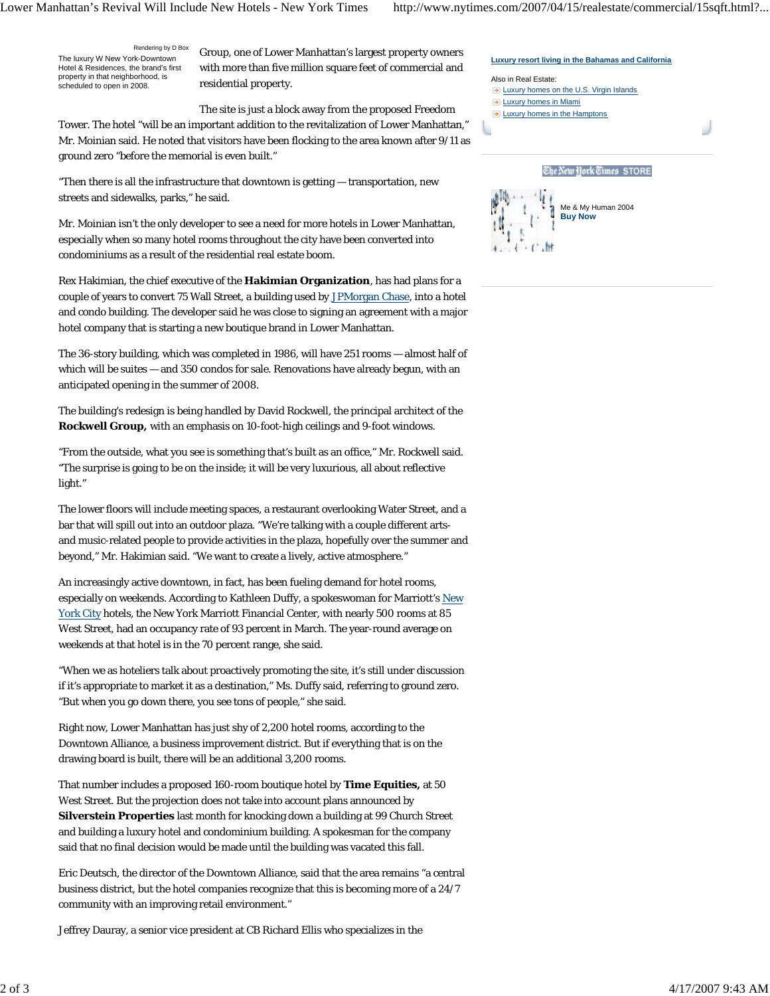**Luxury resort living in the Bahamas and California**

Rendering by D Box The luxury W New York-Downtown Hotel & Residences, the brand's first property in that neighborhood, is scheduled to open in 2008.

Group, one of Lower Manhattan's largest property owners with more than five million square feet of commercial and residential property.

The site is just a block away from the proposed Freedom Tower. The hotel "will be an important addition to the revitalization of Lower Manhattan," Mr. Moinian said. He noted that visitors have been flocking to the area known after 9/11 as ground zero "before the memorial is even built."

"Then there is all the infrastructure that downtown is getting — transportation, new streets and sidewalks, parks," he said.

Mr. Moinian isn't the only developer to see a need for more hotels in Lower Manhattan, especially when so many hotel rooms throughout the city have been converted into condominiums as a result of the residential real estate boom.

Rex Hakimian, the chief executive of the **Hakimian Organization**, has had plans for a couple of years to convert 75 Wall Street, a building used by JPMorgan Chase, into a hotel and condo building. The developer said he was close to signing an agreement with a major hotel company that is starting a new boutique brand in Lower Manhattan.

The 36-story building, which was completed in 1986, will have 251 rooms — almost half of which will be suites — and 350 condos for sale. Renovations have already begun, with an anticipated opening in the summer of 2008.

The building's redesign is being handled by David Rockwell, the principal architect of the **Rockwell Group,** with an emphasis on 10-foot-high ceilings and 9-foot windows.

"From the outside, what you see is something that's built as an office," Mr. Rockwell said. "The surprise is going to be on the inside; it will be very luxurious, all about reflective light."

The lower floors will include meeting spaces, a restaurant overlooking Water Street, and a bar that will spill out into an outdoor plaza. "We're talking with a couple different artsand music-related people to provide activities in the plaza, hopefully over the summer and beyond," Mr. Hakimian said. "We want to create a lively, active atmosphere."

An increasingly active downtown, in fact, has been fueling demand for hotel rooms, especially on weekends. According to Kathleen Duffy, a spokeswoman for Marriott's New York City hotels, the New York Marriott Financial Center, with nearly 500 rooms at 85 West Street, had an occupancy rate of 93 percent in March. The year-round average on weekends at that hotel is in the 70 percent range, she said.

"When we as hoteliers talk about proactively promoting the site, it's still under discussion if it's appropriate to market it as a destination," Ms. Duffy said, referring to ground zero. "But when you go down there, you see tons of people," she said.

Right now, Lower Manhattan has just shy of 2,200 hotel rooms, according to the Downtown Alliance, a business improvement district. But if everything that is on the drawing board is built, there will be an additional 3,200 rooms.

That number includes a proposed 160-room boutique hotel by **Time Equities,** at 50 West Street. But the projection does not take into account plans announced by **Silverstein Properties** last month for knocking down a building at 99 Church Street and building a luxury hotel and condominium building. A spokesman for the company said that no final decision would be made until the building was vacated this fall.

Eric Deutsch, the director of the Downtown Alliance, said that the area remains "a central business district, but the hotel companies recognize that this is becoming more of a 24/7 community with an improving retail environment."

Jeffrey Dauray, a senior vice president at CB Richard Ellis who specializes in the

| Also in Real Estate:                                  |
|-------------------------------------------------------|
| $\rightarrow$ Luxury homes on the U.S. Virgin Islands |
| $\rightarrow$ Luxury homes in Miami                   |
| $\rightarrow$ Luxury homes in the Hamptons            |
|                                                       |
|                                                       |
|                                                       |
| The New Hork Times STORE                              |